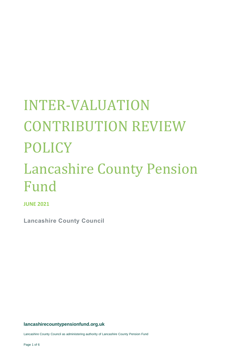# INTER-VALUATION CONTRIBUTION REVIEW POLICY Lancashire County Pension Fund

**JUNE 2021**

**Lancashire County Council**

## **lancashirecountypensionfund.org.uk**

Lancashire County Council as administering authority of Lancashire County Pension Fund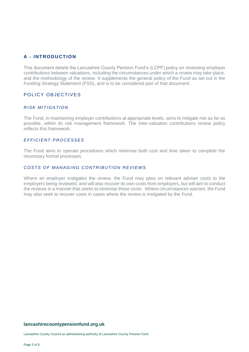## **A - INT RODU CT ION**

This document details the Lancashire County Pension Fund's (LCPF) policy on reviewing employer contributions between valuations, including the circumstances under which a review may take place, and the methodology of the review. It supplements the general policy of the Fund as set out in the Funding Strategy Statement (FSS), and is to be considered part of that document.

## POL ICY OBJECTIVES

#### *RI S K M I T I G A T IO N*

The Fund, in maintaining employer contributions at appropriate levels, aims to mitigate risk as far as possible, within its risk management framework. The inter-valuation contributions review policy reflects this framework.

#### *E F F I CI E NT P RO CE S S E S*

The Fund aims to operate procedures which minimise both cost and time taken to complete the necessary formal processes.

## *COSTS OF MANAGING CONTRIBUTION REVIEWS*

Where an employer instigates the review, the Fund may pass on relevant adviser costs to the employers being reviewed, and will also recover its own costs from employers, but will aim to conduct the reviews in a manner that seeks to minimise these costs. Where circumstances warrant, the Fund may also seek to recover costs in cases where the review is instigated by the Fund.

## **lancashirecountypensionfund.org.uk**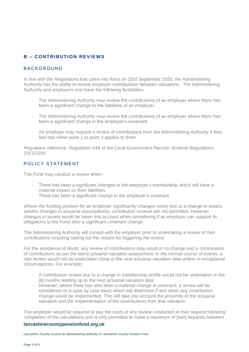## **B – CONT RIBUT ION REVIEW S**

## BACKGROUND

In line with the Regulations that came into force on 23rd September 2020, the Administering Authority has the ability to review employer contributions between valuations. The Administering Authority and employers now have the following flexibilities:

- The Administering Authority may review the contributions of an employer where there has been a significant change to the liabilities of an employer.
- The Administering Authority may review the contributions of an employer where there has been a significant change in the employer's covenant.
- An employer may request a review of contributions from the Administering Authority if they feel that either point 1 or point 2 applies to them.

*Regulation reference: Regulation 64A of the Local Government Pension Scheme Regulations 2013/2356* 

## POLICY STATEMENT

The Fund may conduct a review when:

- There has been a significant changes to the employer's membership which will have a material impact on their liabilities.
- There has been a significant change in the employer's covenant

Where the funding position for an employer significantly changes solely due to a change in assets (and/or changes in actuarial assumptions), contribution reviews are not permitted. However changes in assets would be taken into account when considering if an employer can support its obligations to the Fund after a significant covenant change.

The Administering Authority will consult with the employer prior to undertaking a review of their contributions including setting out the reason for triggering the review.

For the avoidance of doubt, any review of contributions may result in no change and a continuation of contributions as per the latest actuarial valuation assessment. In the normal course of events, a rate review would not be undertaken close to the next actuarial valuation date unless in exceptional circumstances. For example:

- A contribution review due to a change in membership profile would not be undertaken in the [6] months leading up to the next actuarial valuation date.
- However, where there has also been a material change in covenant, a review will be considered on a case by case basis which will determine if and when any contribution change would be implemented. This will take into account the proximity of the actuarial valuation and the implementation of the contributions from that valuation.

The employer would be required to pay the costs of any review conducted at their request following completion of the calculations and is only permitted to make a maximum of [two] requests between

#### **lancashirecountypensionfund.org.uk**

Lancashire County Council as administering authority of Lancashire County Pension Fund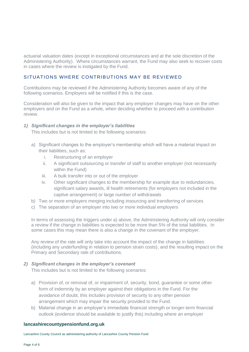actuarial valuation dates (except in exceptional circumstances and at the sole discretion of the Administering Authority). Where circumstances warrant, the Fund may also seek to recover costs in cases where the review is instigated by the Fund.

## SITUATIONS WHERE CONTRIBUTIONS MAY BE REVIEWED

Contributions may be reviewed if the Administering Authority becomes aware of any of the following scenarios. Employers will be notified if this is the case.

Consideration will also be given to the impact that any employer changes may have on the other employers and on the Fund as a whole, when deciding whether to proceed with a contribution review.

## *1) Significant changes in the employer's liabilities*

This includes but is not limited to the following scenarios:

- a) Significant changes to the employer's membership which will have a material impact on their liabilities, such as:
	- i. Restructuring of an employer
	- ii. A significant outsourcing or transfer of staff to another employer (not necessarily within the Fund)
	- iii. A bulk transfer into or out of the employer
	- iv. Other significant changes to the membership for example due to redundancies, significant salary awards, ill health retirements (for employers not included in the captive arrangement) or large number of withdrawals
- b) Two or more employers merging including insourcing and transferring of services
- c) The separation of an employer into two or more individual employers

In terms of assessing the triggers under a) above, the Administering Authority will only consider a review if the change in liabilities is expected to be more than 5% of the total liabilities. In some cases this may mean there is also a change in the covenant of the employer.

Any review of the rate will only take into account the impact of the change in liabilities (including any underfunding in relation to pension strain costs), and the resulting impact on the Primary and Secondary rate of contributions.

#### *2) Significant changes in the employer's covenant*

This includes but is not limited to the following scenarios:

- a) Provision of, or removal of, or impairment of, security, bond, guarantee or some other form of indemnity by an employer against their obligations in the Fund. For the avoidance of doubt, this includes provision of security to any other pension arrangement which may impair the security provided to the Fund.
- b) Material change in an employer's immediate financial strength or longer-term financial outlook (evidence should be available to justify this) including where an employer

## **lancashirecountypensionfund.org.uk**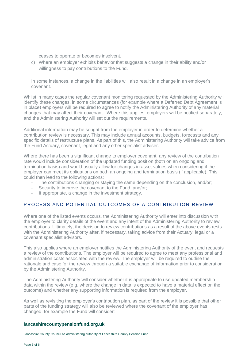ceases to operate or becomes insolvent.

c) Where an employer exhibits behavior that suggests a change in their ability and/or willingness to pay contributions to the Fund.

In some instances, a change in the liabilities will also result in a change in an employer's covenant.

Whilst in many cases the regular covenant monitoring requested by the Administering Authority will identify these changes, in some circumstances (for example where a Deferred Debt Agreement is in place) employers will be required to agree to notify the Administering Authority of any material changes that may affect their covenant. Where this applies, employers will be notified separately, and the Administering Authority will set out the requirements.

Additional information may be sought from the employer in order to determine whether a contribution review is necessary. This may include annual accounts, budgets, forecasts and any specific details of restructure plans. As part of this, the Administering Authority will take advice from the Fund Actuary, covenant, legal and any other specialist adviser.

Where there has been a significant change to employer covenant, any review of the contribution rate would include consideration of the updated funding position (both on an ongoing and termination basis) and would usually allow for changes in asset values when considering if the employer can meet its obligations on both an ongoing and termination basis (if applicable). This could then lead to the following actions:

- The contributions changing or staying the same depending on the conclusion, and/or;
- Security to improve the covenant to the Fund, and/or;
- If appropriate, a change in the investment strategy.

## PROCESS AND POTENTIAL OUTCOMES OF A CONTRIBUTION REVIEW

Where one of the listed events occurs, the Administering Authority will enter into discussion with the employer to clarify details of the event and any intent of the Administering Authority to review contributions. Ultimately, the decision to review contributions as a result of the above events rests with the Administering Authority after, if necessary, taking advice from their Actuary, legal or a covenant specialist advisors.

This also applies where an employer notifies the Administering Authority of the event and requests a review of the contributions. The employer will be required to agree to meet any professional and administration costs associated with the review. The employer will be required to outline the rationale and case for the review through a suitable exchange of information prior to consideration by the Administering Authority.

The Administering Authority will consider whether it is appropriate to use updated membership data within the review (e.g. where the change in data is expected to have a material effect on the outcome) and whether any supporting information is required from the employer.

As well as revisiting the employer's contribution plan, as part of the review it is possible that other parts of the funding strategy will also be reviewed where the covenant of the employer has changed, for example the Fund will consider:

## **lancashirecountypensionfund.org.uk**

Lancashire County Council as administering authority of Lancashire County Pension Fund